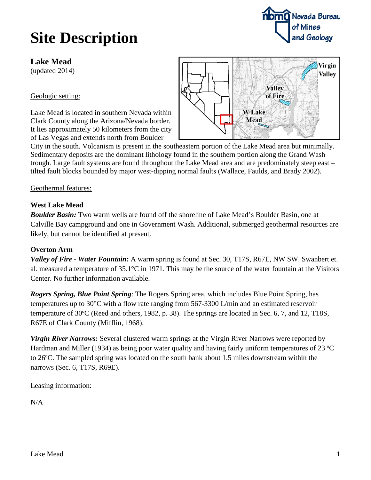# **Site Description**

# **Lake Mead**

(updated 2014)

## Geologic setting:

Lake Mead is located in southern Nevada within Clark County along the Arizona/Nevada border. It lies approximately 50 kilometers from the city of Las Vegas and extends north from Boulder



City in the south. Volcanism is present in the southeastern portion of the Lake Mead area but minimally. Sedimentary deposits are the dominant lithology found in the southern portion along the Grand Wash trough. Large fault systems are found throughout the Lake Mead area and are predominately steep east – tilted fault blocks bounded by major west-dipping normal faults (Wallace, Faulds, and Brady 2002).

#### Geothermal features:

## **West Lake Mead**

*Boulder Basin:* Two warm wells are found off the shoreline of Lake Mead's Boulder Basin, one at Calville Bay campground and one in Government Wash. Additional, submerged geothermal resources are likely, but cannot be identified at present.

## **Overton Arm**

*Valley of Fire - Water Fountain:* A warm spring is found at Sec. 30, T17S, R67E, NW SW. Swanbert et. al. measured a temperature of 35.1°C in 1971. This may be the source of the water fountain at the Visitors Center. No further information available.

*Rogers Spring, Blue Point Spring*: The Rogers Spring area, which includes Blue Point Spring, has temperatures up to 30°C with a flow rate ranging from 567-3300 L/min and an estimated reservoir temperature of 30ºC (Reed and others, 1982, p. 38). The springs are located in Sec. 6, 7, and 12, T18S, R67E of Clark County (Mifflin, 1968).

*Virgin River Narrows:* Several clustered warm springs at the Virgin River Narrows were reported by Hardman and Miller (1934) as being poor water quality and having fairly uniform temperatures of 23 °C to 26ºC. The sampled spring was located on the south bank about 1.5 miles downstream within the narrows (Sec. 6, T17S, R69E).

## Leasing information:

 $N/A$